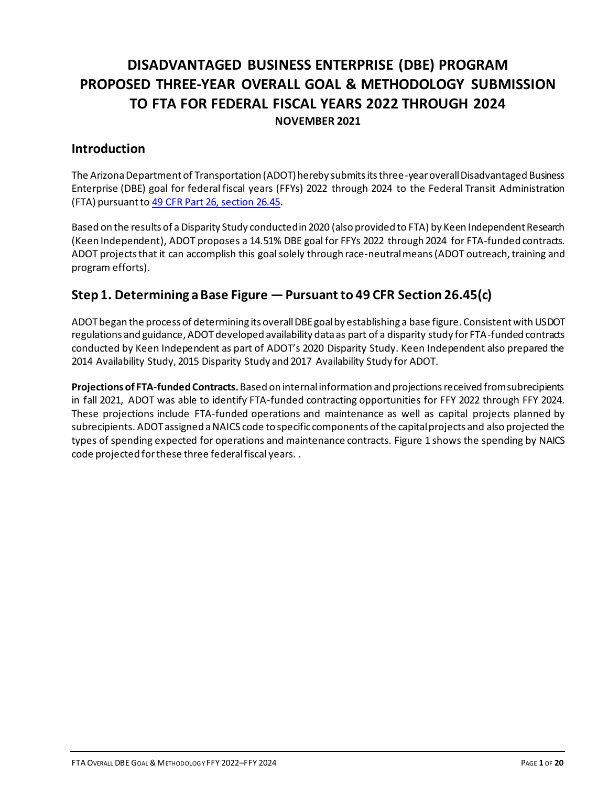## **DISADVANTAGED BUSINESS ENTERPRISE (DBE) PROGRAM PROPOSED THREE-YEAR OVERALL GOAL & METHODOLOGY SUBMISSION TO FTA FOR FEDERAL FISCAL YEARS 2022 THROUGH 2024 NOVEMBER 2021**

## **Introduction**

The Arizona Department of Transportation (ADOT) hereby submits its three-year overall Disadvantaged Business Enterprise (DBE) goal for federal fiscal years (FFYs) 2022 through 2024 to the Federal Transit Administration (FTA) pursuant t[o 49 CFR Part 26, section 26.45.](http://www.ecfr.gov/cgi-bin/text-idx?SID=1e42c322845d8980b2412a266758da7a&node=49:1.0.1.1.20.3.18.3&rgn=div8)

Based on the results of a Disparity Study conducted in 2020 (also provided to FTA) by Keen Independent Research (Keen Independent), ADOT proposes a 14.51% DBE goal for FFYs 2022 through 2024 for FTA-funded contracts. ADOT projects that it can accomplish this goal solely through race-neutral means (ADOT outreach, training and program efforts).

## **Step 1. Determining a Base Figure —Pursuant to 49 CFR Section 26.45(c)**

ADOT began the process of determining its overall DBE goal by establishing a base figure. Consistent with USDOT regulations and guidance, ADOT developed availability data as part of a disparity study for FTA-funded contracts conducted by Keen Independent as part of ADOT's 2020 Disparity Study. Keen Independent also prepared the 2014 Availability Study, 2015 Disparity Study and 2017 Availability Study for ADOT.

**Projections of FTA-funded Contracts.** Based on internal information and projections received from subrecipients in fall 2021, ADOT was able to identify FTA-funded contracting opportunities for FFY 2022 through FFY 2024. These projections include FTA-funded operations and maintenance as well as capital projects planned by subrecipients. ADOT assigned a NAICS code to specific components of the capital projects and also projected the types of spending expected for operations and maintenance contracts. Figure 1 shows the spending by NAICS code projected for these three federal fiscal years. .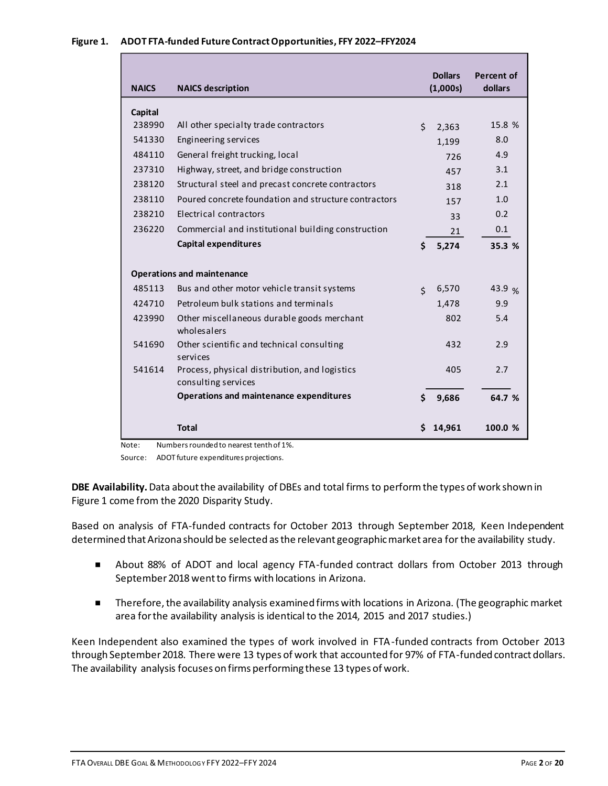### **Figure 1. ADOT FTA-funded Future Contract Opportunities, FFY 2022–FFY2024**

| <b>NAICS</b> | <b>NAICS description</b>                                             |                    | <b>Dollars</b><br>(1,000s) | <b>Percent of</b><br>dollars |
|--------------|----------------------------------------------------------------------|--------------------|----------------------------|------------------------------|
| Capital      |                                                                      |                    |                            |                              |
| 238990       | All other specialty trade contractors                                | \$                 | 2,363                      | 15.8 %                       |
| 541330       | Engineering services                                                 |                    | 1,199                      | 8.0                          |
| 484110       | General freight trucking, local                                      |                    | 726                        | 4.9                          |
| 237310       | Highway, street, and bridge construction                             |                    | 457                        | 3.1                          |
| 238120       | Structural steel and precast concrete contractors                    |                    | 318                        | 2.1                          |
| 238110       | Poured concrete foundation and structure contractors                 |                    | 157                        | 1.0                          |
| 238210       | Electrical contractors                                               |                    | 33                         | 0.2                          |
| 236220       | Commercial and institutional building construction                   |                    | 21                         | 0.1                          |
|              | <b>Capital expenditures</b>                                          | Ś.                 | 5,274                      | 35.3 %                       |
|              | <b>Operations and maintenance</b>                                    |                    |                            |                              |
| 485113       | Bus and other motor vehicle transit systems                          | $\mathsf{\dot{S}}$ | 6,570                      | 43.9 %                       |
| 424710       | Petroleum bulk stations and terminals                                |                    | 1,478                      | 9.9                          |
| 423990       | Other miscellaneous durable goods merchant<br>wholesalers            |                    | 802                        | 5.4                          |
| 541690       | Other scientific and technical consulting<br>services                |                    | 432                        | 2.9                          |
| 541614       | Process, physical distribution, and logistics<br>consulting services |                    | 405                        | 2.7                          |
|              | Operations and maintenance expenditures                              | Ś                  | 9,686                      | 64.7 %                       |
|              | <b>Total</b>                                                         | Ś.                 | 14,961                     | 100.0 %                      |

Note: Numbers rounded to nearest tenth of 1%.

Source: ADOT future expenditures projections.

**DBE Availability.**Data about the availability of DBEs and total firms to perform the types of work shown in Figure 1 come from the 2020 Disparity Study.

Based on analysis of FTA-funded contracts for October 2013 through September 2018, Keen Independent determined that Arizona should be selected as the relevant geographic market area for the availability study.

- About 88% of ADOT and local agency FTA-funded contract dollars from October 2013 through September 2018 went to firms with locations in Arizona.
- Therefore, the availability analysis examined firms with locations in Arizona. (The geographic market area for the availability analysis is identical to the 2014, 2015 and 2017 studies.)

Keen Independent also examined the types of work involved in FTA-funded contracts from October 2013 through September 2018. There were 13 types of work that accounted for 97% of FTA-funded contract dollars. The availability analysis focuses on firms performing these 13 types of work.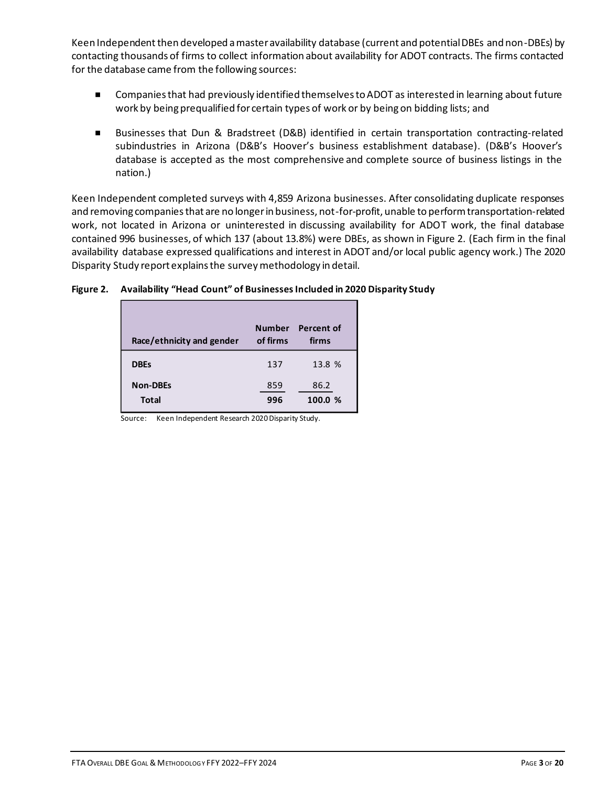Keen Independent then developed a master availability database (current and potential DBEs and non-DBEs) by contacting thousands of firms to collect information about availability for ADOT contracts. The firms contacted for the database came from the following sources:

- Companies that had previously identified themselves to ADOT as interested in learning about future work by being prequalified for certain types of work or by being on bidding lists; and
- Businesses that Dun & Bradstreet (D&B) identified in certain transportation contracting-related subindustries in Arizona (D&B's Hoover's business establishment database). (D&B's Hoover's database is accepted as the most comprehensive and complete source of business listings in the nation.)

Keen Independent completed surveys with 4,859 Arizona businesses. After consolidating duplicate responses and removing companies that are no longer in business, not-for-profit, unable to perform transportation-related work, not located in Arizona or uninterested in discussing availability for ADOT work, the final database contained 996 businesses, of which 137 (about 13.8%) were DBEs, as shown in Figure 2. (Each firm in the final availability database expressed qualifications and interest in ADOT and/or local public agency work.) The 2020 Disparity Study report explains the survey methodology in detail.

### **Figure 2. Availability "Head Count" of Businesses Included in 2020 Disparity Study**

| Race/ethnicity and gender       | of firms   | Number Percent of<br>firms |
|---------------------------------|------------|----------------------------|
| <b>DBEs</b>                     | 137        | 13.8 %                     |
| <b>Non-DBEs</b><br><b>Total</b> | 859<br>996 | 86.2<br>100.0 %            |

Source: Keen Independent Research 2020 Disparity Study.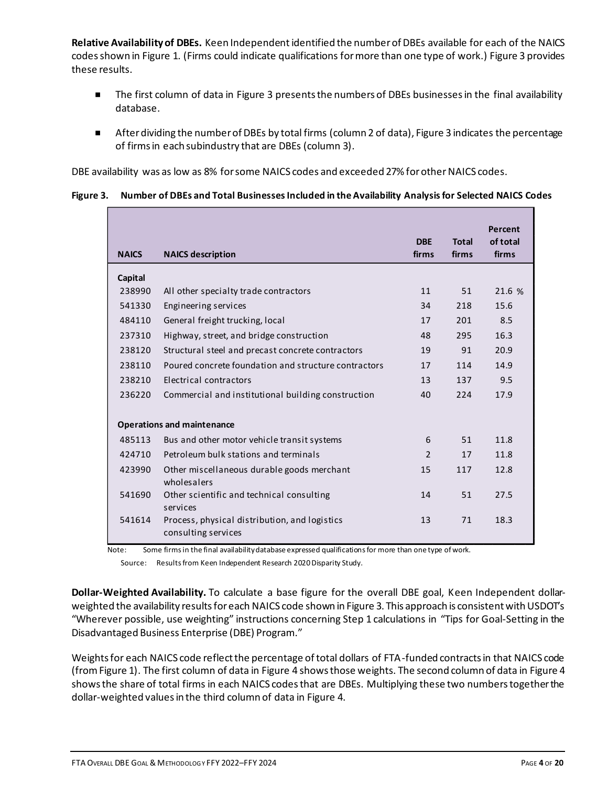**Relative Availability of DBEs.** Keen Independent identified the number of DBEs available for each of the NAICS codesshown in Figure 1. (Firms could indicate qualifications for more than one type of work.) Figure 3 provides these results.

- The first column of data in Figure 3 presents the numbers of DBEs businesses in the final availability database.
- After dividing the number of DBEs by total firms (column 2 of data), Figure 3 indicates the percentage of firms in each subindustry that are DBEs (column 3).

DBE availability was as low as 8% for some NAICS codes and exceeded 27% for other NAICS codes.

### **Figure 3. Number of DBEs and Total Businesses Included in the Availability Analysisfor Selected NAICS Codes**

| <b>NAICS</b> | <b>NAICS description</b>                                             | <b>DBE</b><br>firms | <b>Total</b><br>firms | Percent<br>of total<br>firms |
|--------------|----------------------------------------------------------------------|---------------------|-----------------------|------------------------------|
| Capital      |                                                                      |                     |                       |                              |
| 238990       | All other specialty trade contractors                                | 11                  | 51                    | 21.6 %                       |
| 541330       | Engineering services                                                 | 34                  | 218                   | 15.6                         |
| 484110       | General freight trucking, local                                      | 17                  | 201                   | 8.5                          |
| 237310       | Highway, street, and bridge construction                             | 48                  | 295                   | 16.3                         |
| 238120       | Structural steel and precast concrete contractors                    | 19                  | 91                    | 20.9                         |
| 238110       | Poured concrete foundation and structure contractors                 | 17                  | 114                   | 14.9                         |
| 238210       | Electrical contractors                                               | 13                  | 137                   | 9.5                          |
| 236220       | Commercial and institutional building construction                   | 40                  | 224                   | 17.9                         |
|              | <b>Operations and maintenance</b>                                    |                     |                       |                              |
| 485113       | Bus and other motor vehicle transit systems                          | 6                   | 51                    | 11.8                         |
| 424710       | Petroleum bulk stations and terminals                                | $\overline{2}$      | 17                    | 11.8                         |
| 423990       | Other miscellaneous durable goods merchant<br>wholesalers            | 15                  | 117                   | 12.8                         |
| 541690       | Other scientific and technical consulting<br>services                | 14                  | 51                    | 27.5                         |
| 541614       | Process, physical distribution, and logistics<br>consulting services | 13                  | 71                    | 18.3                         |

Note: Some firms in the final availability database expressed qualificationsfor more than one type of work.

Source: Results from Keen Independent Research 2020 Disparity Study.

**Dollar-Weighted Availability.** To calculate a base figure for the overall DBE goal, Keen Independent dollarweighted the availability results for each NAICS code shown in Figure 3. This approach is consistent with USDOT's "Wherever possible, use weighting" instructions concerning Step 1 calculations in "Tips for Goal-Setting in the Disadvantaged Business Enterprise (DBE) Program."

Weights for each NAICS code reflect the percentage of total dollars of FTA-funded contracts in that NAICS code (from Figure 1). The first column of data in Figure 4 shows those weights. The second column of data in Figure 4 shows the share of total firms in each NAICS codes that are DBEs. Multiplying these two numbers together the dollar-weighted values in the third column of data in Figure 4.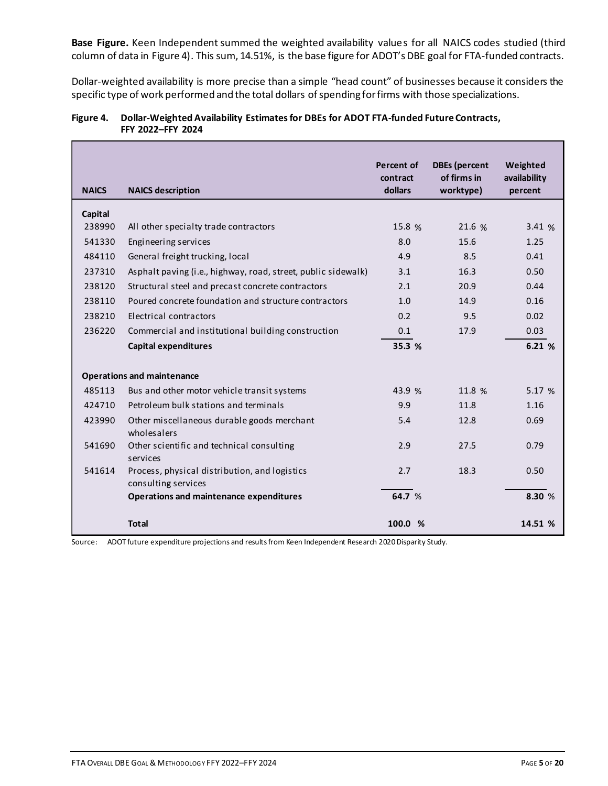**Base Figure.** Keen Independent summed the weighted availability values for all NAICS codes studied (third column of data in Figure 4). This sum, 14.51%, is the base figure for ADOT's DBE goal for FTA-funded contracts.

Dollar-weighted availability is more precise than a simple "head count" of businesses because it considers the specific type of work performed and the total dollars of spending for firms with those specializations.

| Figure 4. Dollar-Weighted Availability Estimates for DBEs for ADOT FTA-funded Future Contracts, |
|-------------------------------------------------------------------------------------------------|
| <b>FFY 2022-FFY 2024</b>                                                                        |

| <b>NAICS</b> | <b>NAICS description</b>                                             | <b>Percent of</b><br>contract<br>dollars | <b>DBEs</b> (percent<br>of firms in<br>worktype) | Weighted<br>availability<br>percent |
|--------------|----------------------------------------------------------------------|------------------------------------------|--------------------------------------------------|-------------------------------------|
| Capital      |                                                                      |                                          |                                                  |                                     |
| 238990       | All other specialty trade contractors                                | 15.8 %                                   | 21.6 %                                           | 3.41 %                              |
| 541330       | Engineering services                                                 | 8.0                                      | 15.6                                             | 1.25                                |
| 484110       | General freight trucking, local                                      | 4.9                                      | 8.5                                              | 0.41                                |
| 237310       | Asphalt paving (i.e., highway, road, street, public sidewalk)        | 3.1                                      | 16.3                                             | 0.50                                |
| 238120       | Structural steel and precast concrete contractors                    | 2.1                                      | 20.9                                             | 0.44                                |
| 238110       | Poured concrete foundation and structure contractors                 | 1.0                                      | 14.9                                             | 0.16                                |
| 238210       | Electrical contractors                                               | 0.2                                      | 9.5                                              | 0.02                                |
| 236220       | Commercial and institutional building construction                   | 0.1                                      | 17.9                                             | 0.03                                |
|              | <b>Capital expenditures</b>                                          | 35.3 %                                   |                                                  | 6.21 %                              |
|              |                                                                      |                                          |                                                  |                                     |
|              | <b>Operations and maintenance</b>                                    |                                          |                                                  |                                     |
| 485113       | Bus and other motor vehicle transit systems                          | 43.9 %                                   | 11.8 %                                           | 5.17 %                              |
| 424710       | Petroleum bulk stations and terminals                                | 9.9                                      | 11.8                                             | 1.16                                |
| 423990       | Other miscellaneous durable goods merchant<br>wholesalers            | 5.4                                      | 12.8                                             | 0.69                                |
| 541690       | Other scientific and technical consulting<br>services                | 2.9                                      | 27.5                                             | 0.79                                |
| 541614       | Process, physical distribution, and logistics<br>consulting services | 2.7                                      | 18.3                                             | 0.50                                |
|              | <b>Operations and maintenance expenditures</b>                       | 64.7 %                                   |                                                  | 8.30 %                              |
|              | <b>Total</b>                                                         | 100.0 %                                  |                                                  | 14.51 %                             |

Source: ADOT future expenditure projections and results from Keen Independent Research 2020 Disparity Study.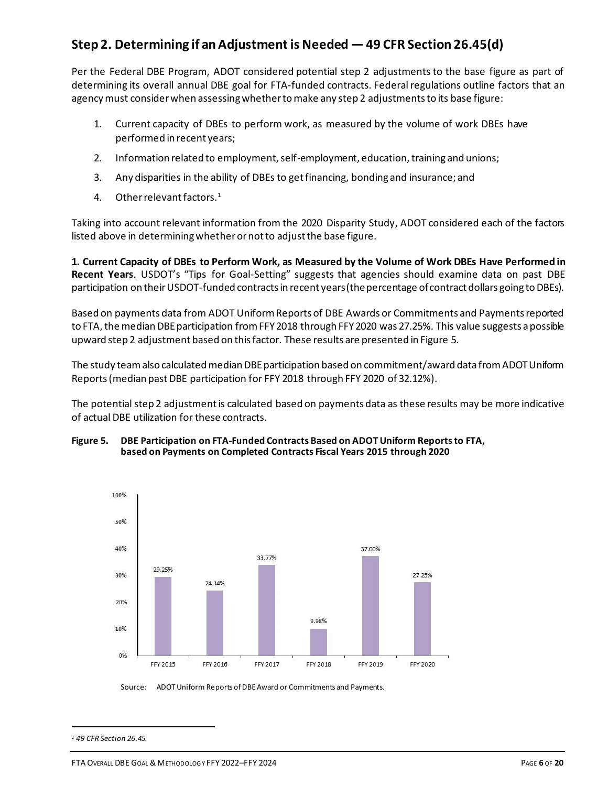## **Step 2. Determining if an Adjustment is Needed —49 CFR Section 26.45(d)**

Per the Federal DBE Program, ADOT considered potential step 2 adjustments to the base figure as part of determining its overall annual DBE goal for FTA-funded contracts. Federal regulations outline factors that an agency must consider when assessing whether to make any step 2 adjustments to its base figure:

- 1. Current capacity of DBEs to perform work, as measured by the volume of work DBEs have performed in recent years;
- 2. Information related to employment, self-employment, education, training and unions;
- 3. Any disparities in the ability of DBEs to get financing, bonding and insurance; and
- 4. Other relevant factors.<sup>1</sup>

Taking into account relevant information from the 2020 Disparity Study, ADOT considered each of the factors listed above in determining whether or not to adjust the base figure.

**1. Current Capacity of DBEs to Perform Work, as Measured by the Volume of Work DBEs Have Performed in Recent Years**. USDOT's "Tips for Goal-Setting" suggests that agencies should examine data on past DBE participation on their USDOT-funded contracts in recent years (the percentage of contract dollars going to DBEs).

Based on payments data from ADOT Uniform Reports of DBE Awards or Commitments and Payments reported to FTA, the median DBE participation from FFY 2018 through FFY 2020 was 27.25%. This value suggests a possible upward step 2 adjustment based on this factor. These results are presented in Figure 5.

The study team also calculated median DBE participation based on commitment/award data from ADOT Uniform Reports(median past DBE participation for FFY 2018 through FFY 2020 of 32.12%).

The potential step 2 adjustment is calculated based on payments data as these results may be more indicative of actual DBE utilization for these contracts.

#### **Figure 5. DBE Participation on FTA-Funded Contracts Based on ADOT Uniform Reports to FTA, based on Payments on Completed Contracts Fiscal Years 2015 through 2020**



Source: ADOT Uniform Reports of DBE Award or Commitments and Payments.

*<sup>1</sup> 49 CFR Section 26.45.*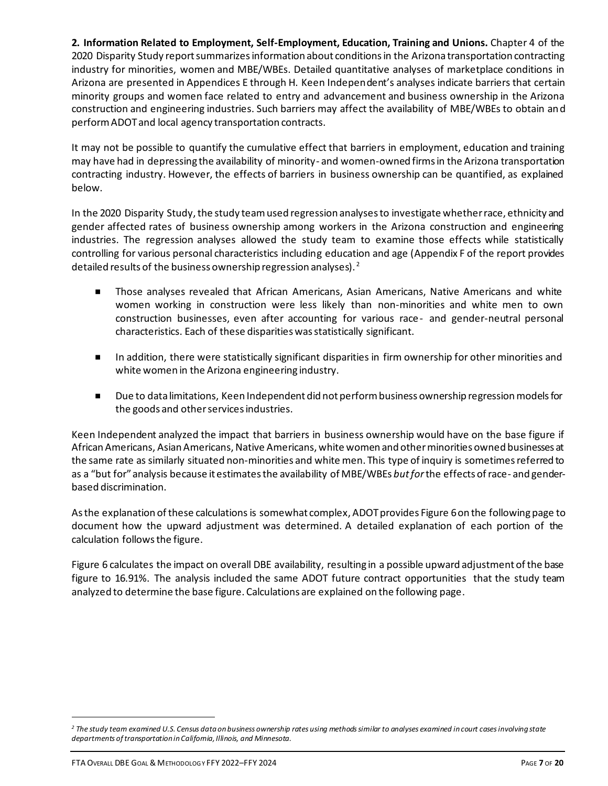**2. Information Related to Employment, Self-Employment, Education, Training and Unions.** Chapter 4 of the 2020 Disparity Study report summarizes information about conditions in the Arizona transportation contracting industry for minorities, women and MBE/WBEs. Detailed quantitative analyses of marketplace conditions in Arizona are presented in Appendices E through H. Keen Independent's analyses indicate barriers that certain minority groups and women face related to entry and advancement and business ownership in the Arizona construction and engineering industries. Such barriers may affect the availability of MBE/WBEs to obtain and perform ADOT and local agency transportation contracts.

It may not be possible to quantify the cumulative effect that barriers in employment, education and training may have had in depressing the availability of minority- and women-owned firms in the Arizona transportation contracting industry. However, the effects of barriers in business ownership can be quantified, as explained below.

In the 2020 Disparity Study, the study team used regression analyses to investigate whether race, ethnicity and gender affected rates of business ownership among workers in the Arizona construction and engineering industries. The regression analyses allowed the study team to examine those effects while statistically controlling for various personal characteristics including education and age (Appendix F of the report provides detailed results of the business ownership regression analyses). <sup>2</sup>

- Those analyses revealed that African Americans, Asian Americans, Native Americans and white women working in construction were less likely than non-minorities and white men to own construction businesses, even after accounting for various race- and gender-neutral personal characteristics. Each of these disparities was statistically significant.
- **In addition, there were statistically significant disparities in firm ownership for other minorities and** white women in the Arizona engineering industry.
- Due to data limitations, Keen Independent did not perform business ownership regression models for the goods and other services industries.

Keen Independent analyzed the impact that barriers in business ownership would have on the base figure if African Americans, Asian Americans, Native Americans, white women and other minorities owned businesses at the same rate as similarly situated non-minorities and white men. This type of inquiry is sometimes referred to as a "but for" analysis because it estimates the availability of MBE/WBEs *but for*the effects of race- and genderbased discrimination.

As the explanation of these calculations is somewhat complex, ADOT provides Figure 6on the following page to document how the upward adjustment was determined. A detailed explanation of each portion of the calculation follows the figure.

Figure 6 calculates the impact on overall DBE availability, resulting in a possible upward adjustment of the base figure to 16.91%. The analysis included the same ADOT future contract opportunities that the study team analyzed to determine the base figure. Calculations are explained on the following page.

*<sup>2</sup> The study team examined U.S. Census data on business ownership rates using methods similar to analyses examined in court cases involving state departments of transportation in California, Illinois, and Minnesota.*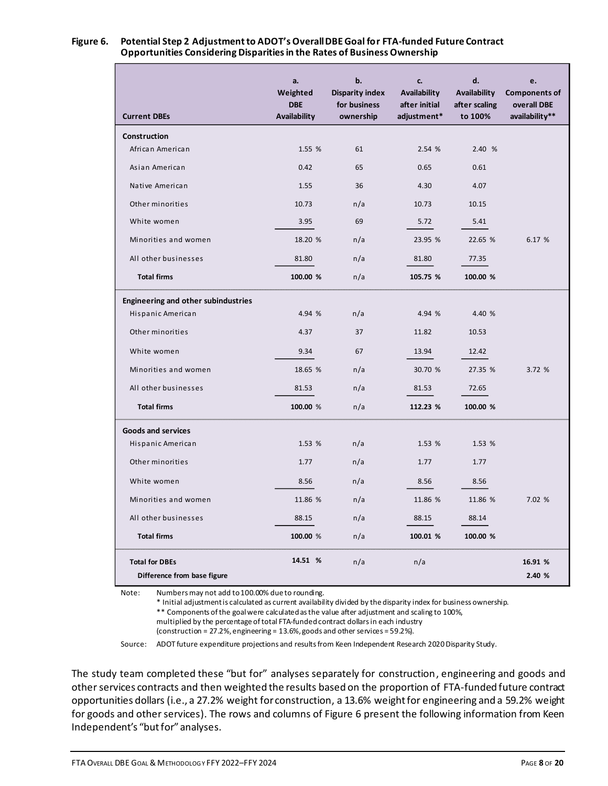| <b>Current DBEs</b>                        | a.<br>Weighted<br><b>DBE</b><br>Availability | b.<br><b>Disparity index</b><br>for business<br>ownership | c.<br>Availability<br>after initial<br>adjustment* | d.<br>Availability<br>after scaling<br>to 100% | e.<br><b>Components of</b><br>overall DBE<br>availability** |
|--------------------------------------------|----------------------------------------------|-----------------------------------------------------------|----------------------------------------------------|------------------------------------------------|-------------------------------------------------------------|
| Construction                               |                                              |                                                           |                                                    |                                                |                                                             |
| African American                           | 1.55 %                                       | 61                                                        | 2.54 %                                             | 2.40 %                                         |                                                             |
| Asian American                             | 0.42                                         | 65                                                        | 0.65                                               | 0.61                                           |                                                             |
| Native American                            | 1.55                                         | 36                                                        | 4.30                                               | 4.07                                           |                                                             |
| Other minorities                           | 10.73                                        | n/a                                                       | 10.73                                              | 10.15                                          |                                                             |
| White women                                | 3.95                                         | 69                                                        | 5.72                                               | 5.41                                           |                                                             |
| Minorities and women                       | 18.20 %                                      | n/a                                                       | 23.95 %                                            | 22.65 %                                        | 6.17 %                                                      |
| All other businesses                       | 81.80                                        | n/a                                                       | 81.80                                              | 77.35                                          |                                                             |
| <b>Total firms</b>                         | 100.00 %                                     | n/a                                                       | 105.75 %                                           | 100.00 %                                       |                                                             |
| <b>Engineering and other subindustries</b> |                                              |                                                           |                                                    |                                                |                                                             |
| Hispanic American                          | 4.94 %                                       | n/a                                                       | 4.94 %                                             | 4.40 %                                         |                                                             |
| Other minorities                           | 4.37                                         | 37                                                        | 11.82                                              | 10.53                                          |                                                             |
| White women                                | 9.34                                         | 67                                                        | 13.94                                              | 12.42                                          |                                                             |
| Minorities and women                       | 18.65 %                                      | n/a                                                       | 30.70 %                                            | 27.35 %                                        | 3.72 %                                                      |
| All other businesses                       | 81.53                                        | n/a                                                       | 81.53                                              | 72.65                                          |                                                             |
| <b>Total firms</b>                         | 100.00 %                                     | n/a                                                       | 112.23 %                                           | 100.00 %                                       |                                                             |
| <b>Goods and services</b>                  |                                              |                                                           |                                                    |                                                |                                                             |
| Hispanic American                          | 1.53 %                                       | n/a                                                       | 1.53 %                                             | 1.53 %                                         |                                                             |
| Other minorities                           | 1.77                                         | n/a                                                       | 1.77                                               | 1.77                                           |                                                             |
| White women                                | 8.56                                         | n/a                                                       | 8.56                                               | 8.56                                           |                                                             |
| Minorities and women                       | 11.86 %                                      | n/a                                                       | 11.86 %                                            | 11.86 %                                        | 7.02 %                                                      |
| All other businesses                       | 88.15                                        | n/a                                                       | 88.15                                              | 88.14                                          |                                                             |
| <b>Total firms</b>                         | 100.00 %                                     | n/a                                                       | 100.01 %                                           | 100.00 %                                       |                                                             |
| <b>Total for DBEs</b>                      | 14.51 %                                      | n/a                                                       | n/a                                                |                                                | 16.91 %                                                     |
| Difference from base figure                |                                              |                                                           |                                                    |                                                | 2.40 %                                                      |

# **Opportunities Considering Disparities in the Rates of Business Ownership**

Note: Numbers may not add to 100.00% due to rounding.

\* Initial adjustment is calculated as current availability divided by the disparity index for business ownership.

\*\* Components of the goal were calculated as the value after adjustment and scaling to 100%,

multiplied by the percentage of total FTA-funded contract dollars in each industry

(construction = 27.2%, engineering = 13.6%, goods and other services = 59.2%).

Source: ADOT future expenditure projections and results from Keen Independent Research 2020 Disparity Study.

The study team completed these "but for" analyses separately for construction, engineering and goods and other services contracts and then weighted the results based on the proportion of FTA-funded future contract opportunities dollars (i.e., a 27.2% weight for construction, a 13.6% weight for engineering and a 59.2% weight for goods and other services). The rows and columns of Figure 6 present the following information from Keen Independent's "but for" analyses.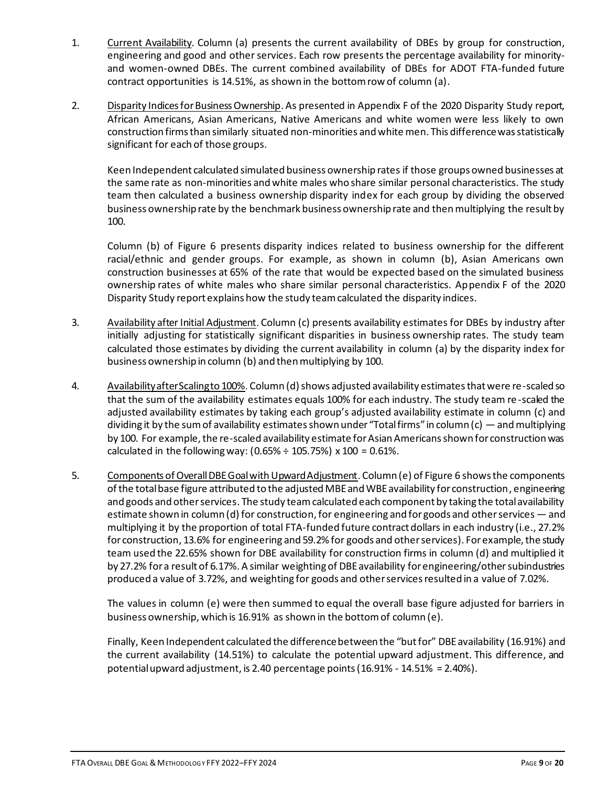- 1. Current Availability. Column (a) presents the current availability of DBEs by group for construction, engineering and good and other services. Each row presents the percentage availability for minorityand women-owned DBEs. The current combined availability of DBEs for ADOT FTA-funded future contract opportunities is 14.51%, as shown in the bottom row of column (a).
- 2. Disparity Indices for Business Ownership. As presented in Appendix F of the 2020 Disparity Study report, African Americans, Asian Americans, Native Americans and white women were less likely to own construction firms than similarly situated non-minorities and white men. This difference was statistically significant for each of those groups.

Keen Independent calculated simulated business ownership rates if those groups owned businesses at the same rate as non-minorities and white males who share similar personal characteristics. The study team then calculated a business ownership disparity index for each group by dividing the observed business ownership rate by the benchmark business ownership rate and then multiplying the result by 100.

Column (b) of Figure 6 presents disparity indices related to business ownership for the different racial/ethnic and gender groups. For example, as shown in column (b), Asian Americans own construction businesses at 65% of the rate that would be expected based on the simulated business ownership rates of white males who share similar personal characteristics. Appendix F of the 2020 Disparity Study report explains how the study team calculated the disparity indices.

- 3. Availability after Initial Adjustment. Column (c) presents availability estimates for DBEs by industry after initially adjusting for statistically significant disparities in business ownership rates. The study team calculated those estimates by dividing the current availability in column (a) by the disparity index for business ownership in column (b) and then multiplying by 100.
- 4. Availability after Scaling to 100%. Column (d) shows adjusted availability estimates that were re-scaled so that the sum of the availability estimates equals 100% for each industry. The study team re-scaled the adjusted availability estimates by taking each group's adjusted availability estimate in column (c) and dividing it by the sum of availability estimates shown under "Total firms" in column (c) — and multiplying by 100. For example, the re-scaled availability estimate for Asian Americans shown for construction was calculated in the following way:  $(0.65\% \div 105.75\%) \times 100 = 0.61\%.$
- 5. Components of Overall DBE Goal with Upward Adjustment. Column (e) of Figure 6 shows the components of the total base figure attributed to the adjusted MBE and WBE availability for construction, engineering and goods and other services. The study team calculated each component by taking the total availability estimate shown in column (d) for construction, for engineering and for goods and other services — and multiplying it by the proportion of total FTA-funded future contract dollars in each industry (i.e., 27.2% for construction, 13.6% for engineering and 59.2% for goods and other services). For example, the study team used the 22.65% shown for DBE availability for construction firms in column (d) and multiplied it by 27.2% for a result of 6.17%. A similar weighting of DBEavailability for engineering/other subindustries produced a value of 3.72%, and weighting for goods and other services resulted in a value of 7.02%.

The values in column (e) were then summed to equal the overall base figure adjusted for barriers in business ownership, which is 16.91% as shown in the bottom of column (e).

Finally, Keen Independent calculated the difference between the "but for" DBE availability (16.91%) and the current availability (14.51%) to calculate the potential upward adjustment. This difference, and potential upward adjustment, is 2.40 percentage points (16.91% - 14.51% = 2.40%).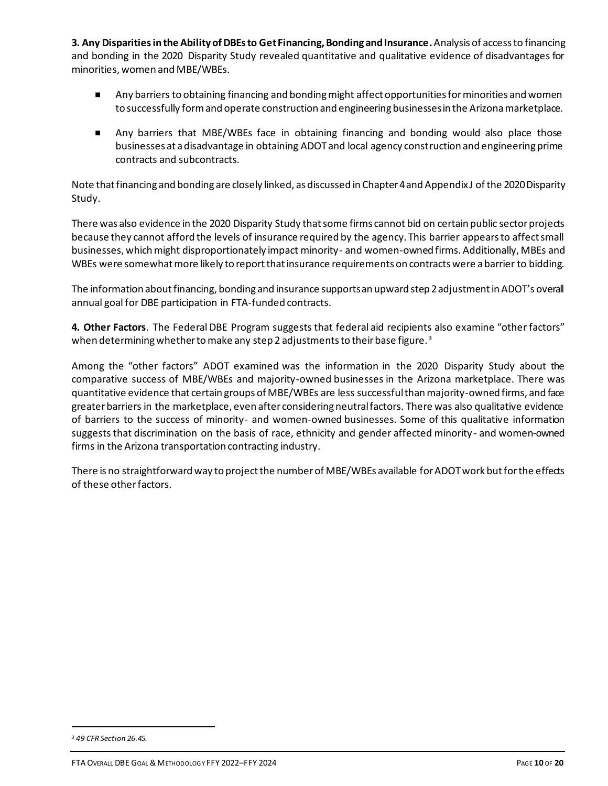**3. Any Disparitiesin the Ability of DBEs to Get Financing, Bonding and Insurance.**Analysis of access to financing and bonding in the 2020 Disparity Study revealed quantitative and qualitative evidence of disadvantages for minorities, women and MBE/WBEs.

- **Any barriers to obtaining financing and bonding might affect opportunities for minorities and women** to successfully form and operate construction and engineering businesses in the Arizona marketplace.
- Any barriers that MBE/WBEs face in obtaining financing and bonding would also place those businesses at a disadvantage in obtaining ADOT and local agency construction and engineering prime contracts and subcontracts.

Note that financing and bonding are closely linked, as discussed in Chapter 4 and Appendix J of the 2020 Disparity Study.

There was also evidence in the 2020 Disparity Study that some firms cannot bid on certain public sector projects because they cannot afford the levels of insurance required by the agency. This barrier appears to affect small businesses, which might disproportionately impact minority- and women-owned firms. Additionally, MBEs and WBEs were somewhat more likely to report that insurance requirements on contracts were a barrier to bidding.

The information about financing, bonding and insurance supports an upward step 2 adjustment in ADOT's overall annual goal for DBE participation in FTA-funded contracts.

**4. Other Factors**. The Federal DBE Program suggests that federal aid recipients also examine "other factors" when determining whether to make any step 2 adjustments to their base figure.<sup>3</sup>

Among the "other factors" ADOT examined was the information in the 2020 Disparity Study about the comparative success of MBE/WBEs and majority-owned businesses in the Arizona marketplace. There was quantitative evidence that certain groups of MBE/WBEs are less successful than majority-owned firms, and face greater barriers in the marketplace, even after considering neutral factors. There was also qualitative evidence of barriers to the success of minority- and women-owned businesses. Some of this qualitative information suggests that discrimination on the basis of race, ethnicity and gender affected minority- and women-owned firms in the Arizona transportation contracting industry.

There is no straightforward way to project the number of MBE/WBEs available for ADOT work but for the effects of these other factors.

*<sup>3</sup> 49 CFR Section 26.45.*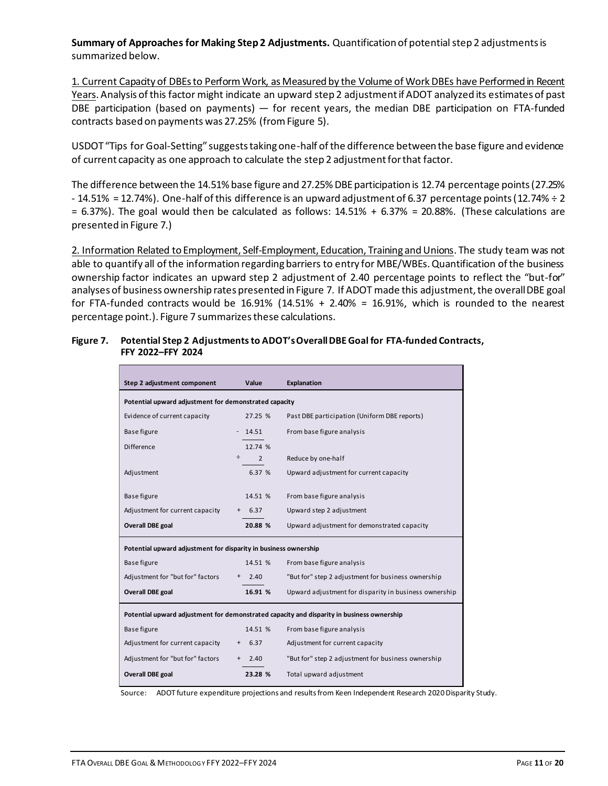**Summary of Approaches for Making Step 2 Adjustments.** Quantification of potential step 2 adjustments is summarized below.

1. Current Capacity of DBEs to Perform Work, as Measured by the Volume of Work DBEs have Performed in Recent Years. Analysis of this factor might indicate an upward step 2 adjustment if ADOT analyzed its estimates of past DBE participation (based on payments) — for recent years, the median DBE participation on FTA-funded contracts based on payments was 27.25% (from Figure 5).

USDOT "Tips for Goal-Setting" suggests taking one-half of the difference between the base figure and evidence of current capacity as one approach to calculate the step 2 adjustment for that factor.

The difference between the 14.51% base figure and 27.25% DBE participation is 12.74 percentage points (27.25%  $-14.51\%$  = 12.74%). One-half of this difference is an upward adjustment of 6.37 percentage points (12.74% ÷ 2  $= 6.37\%$ ). The goal would then be calculated as follows:  $14.51\% + 6.37\% = 20.88\%$ . (These calculations are presented in Figure 7.)

2. Information Related to Employment, Self-Employment, Education, Training and Unions. The study team was not able to quantify all of the information regarding barriers to entry for MBE/WBEs. Quantification of the business ownership factor indicates an upward step 2 adjustment of 2.40 percentage points to reflect the "but-for" analyses of business ownership rates presented in Figure 7. If ADOT made this adjustment, the overall DBE goal for FTA-funded contracts would be  $16.91\%$  (14.51% + 2.40% = 16.91%, which is rounded to the nearest percentage point.). Figure 7 summarizes these calculations.

| Step 2 adjustment component                                                               | Value                                        | <b>Explanation</b>                                    |  |  |  |  |
|-------------------------------------------------------------------------------------------|----------------------------------------------|-------------------------------------------------------|--|--|--|--|
| Potential upward adjustment for demonstrated capacity                                     |                                              |                                                       |  |  |  |  |
| Evidence of current capacity                                                              | 27.25 %                                      | Past DBE participation (Uniform DBE reports)          |  |  |  |  |
| Base figure                                                                               | $-14.51$                                     | From base figure analysis                             |  |  |  |  |
| Difference                                                                                | 12.74 %                                      |                                                       |  |  |  |  |
|                                                                                           | $\div$ . The set of $\div$<br>$\overline{2}$ | Reduce by one-half                                    |  |  |  |  |
| Adjustment                                                                                | 6.37 %                                       | Upward adjustment for current capacity                |  |  |  |  |
| Base figure                                                                               | 14.51 %                                      | From base figure analysis                             |  |  |  |  |
| Adjustment for current capacity                                                           | $+ 6.37$                                     | Upward step 2 adjustment                              |  |  |  |  |
| <b>Overall DBE goal</b>                                                                   | 20.88 %                                      | Upward adjustment for demonstrated capacity           |  |  |  |  |
|                                                                                           |                                              |                                                       |  |  |  |  |
| Potential upward adjustment for disparity in business ownership                           |                                              |                                                       |  |  |  |  |
| Base figure                                                                               | 14.51 %                                      | From base figure analysis                             |  |  |  |  |
| Adjustment for "but for" factors                                                          | $+2.40$                                      | "But for" step 2 adjustment for business ownership    |  |  |  |  |
| Overall DBE goal                                                                          | 16.91 %                                      | Upward adjustment for disparity in business ownership |  |  |  |  |
| Potential upward adjustment for demonstrated capacity and disparity in business ownership |                                              |                                                       |  |  |  |  |
| Base figure                                                                               | 14.51 %                                      | From base figure analysis                             |  |  |  |  |
| Adjustment for current capacity                                                           | $+ 6.37$                                     | Adjustment for current capacity                       |  |  |  |  |
| Adjustment for "but for" factors                                                          | $+ 2.40$                                     | "But for" step 2 adjustment for business ownership    |  |  |  |  |
| <b>Overall DBE goal</b>                                                                   | 23.28 %                                      | Total upward adjustment                               |  |  |  |  |
|                                                                                           |                                              |                                                       |  |  |  |  |

### **Figure 7. Potential Step 2 Adjustments to ADOT's Overall DBE Goal for FTA-funded Contracts, FFY 2022–FFY 2024**

Source: ADOT future expenditure projections and results from Keen Independent Research 2020 Disparity Study.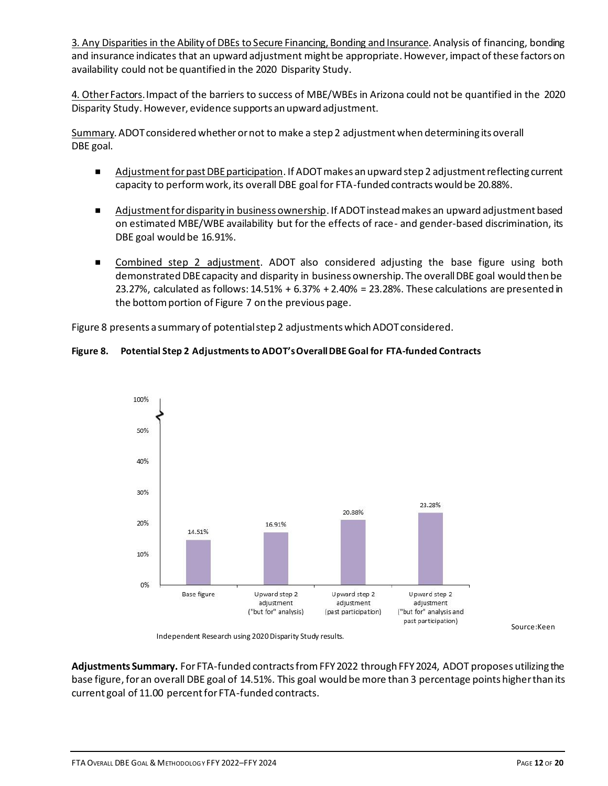3. Any Disparities in the Ability of DBEs to Secure Financing, Bonding and Insurance. Analysis of financing, bonding and insurance indicates that an upward adjustment might be appropriate. However, impact of these factors on availability could not be quantified in the 2020 Disparity Study.

4. Other Factors. Impact of the barriers to success of MBE/WBEs in Arizona could not be quantified in the 2020 Disparity Study. However, evidence supports an upward adjustment.

Summary. ADOT considered whether or not to make a step 2 adjustment when determining its overall DBE goal.

- Adjustment for past DBE participation. If ADOT makes an upward step 2 adjustment reflecting current capacity to perform work, its overall DBE goal for FTA-funded contracts would be 20.88%.
- Adjustment for disparity in business ownership. If ADOT instead makes an upward adjustment based on estimated MBE/WBE availability but for the effects of race- and gender-based discrimination, its DBE goal would be 16.91%.
- Combined step 2 adjustment. ADOT also considered adjusting the base figure using both demonstrated DBE capacity and disparity in business ownership. The overall DBE goal would then be 23.27%, calculated as follows: 14.51% + 6.37% + 2.40% = 23.28%. These calculations are presented in the bottom portion of Figure 7 on the previous page.

Figure 8 presents a summary of potential step 2 adjustments which ADOT considered.

### **Figure 8. Potential Step 2 Adjustments to ADOT's Overall DBE Goal for FTA-funded Contracts**



Source:Keen

Independent Research using 2020 Disparity Study results.

**Adjustments Summary.** For FTA-funded contracts from FFY 2022 through FFY 2024, ADOT proposes utilizing the base figure, for an overall DBE goal of 14.51%. This goal would be more than 3 percentage points higher than its current goal of 11.00 percent for FTA-funded contracts.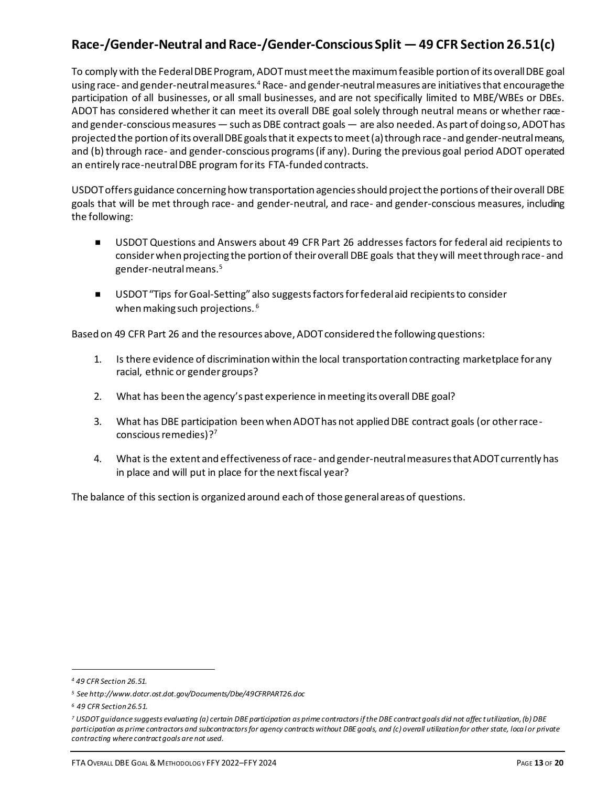## **Race-/Gender-Neutral and Race-/Gender-Conscious Split —49 CFR Section 26.51(c)**

To comply with the Federal DBE Program, ADOT must meet the maximum feasible portion of its overall DBE goal using race- and gender-neutral measures.<sup>4</sup> Race- and gender-neutral measures are initiatives that encourage the participation of all businesses, or all small businesses, and are not specifically limited to MBE/WBEs or DBEs. ADOT has considered whether it can meet its overall DBE goal solely through neutral means or whether raceand gender-conscious measures — such as DBE contract goals — are also needed. As part of doing so, ADOT has projected the portion of its overall DBE goals that it expects to meet (a) through race-and gender-neutral means, and (b) through race- and gender-conscious programs (if any). During the previous goal period ADOT operated an entirely race-neutral DBE program for its FTA-funded contracts.

USDOT offers guidance concerning how transportation agencies should project the portions of their overall DBE goals that will be met through race- and gender-neutral, and race- and gender-conscious measures, including the following:

- USDOT Questions and Answers about 49 CFR Part 26 addresses factors for federal aid recipients to consider when projecting the portion of their overall DBE goals that they will meet through race- and gender-neutral means.<sup>5</sup>
- USDOT "Tips for Goal-Setting" also suggests factors for federal aid recipients to consider when making such projections.<sup>6</sup>

Based on 49 CFR Part 26 and the resources above, ADOT considered the following questions:

- 1. Is there evidence of discrimination within the local transportation contracting marketplace for any racial, ethnic or gender groups?
- 2. What has been the agency's past experience in meeting its overall DBE goal?
- 3. What has DBE participation been when ADOT has not applied DBE contract goals (or other raceconscious remedies)? 7
- 4. What is the extent and effectiveness of race- and gender-neutral measures that ADOT currently has in place and will put in place for the next fiscal year?

The balance of this section is organized around each of those general areas of questions.

*<sup>4</sup> 49 CFR Section 26.51.*

*<sup>5</sup> See http://www.dotcr.ost.dot.gov/Documents/Dbe/49CFRPART26.doc* 

*<sup>6</sup> 49 CFR Section 26.51.*

*<sup>7</sup> USDOT guidance suggests evaluating (a) certain DBE participation as prime contractors if the DBE contract goals did not affec t utilization, (b) DBE participation as prime contractors and subcontractors for agency contracts without DBE goals, and (c) overall utilization for other state, local or private contracting where contract goals are not used.*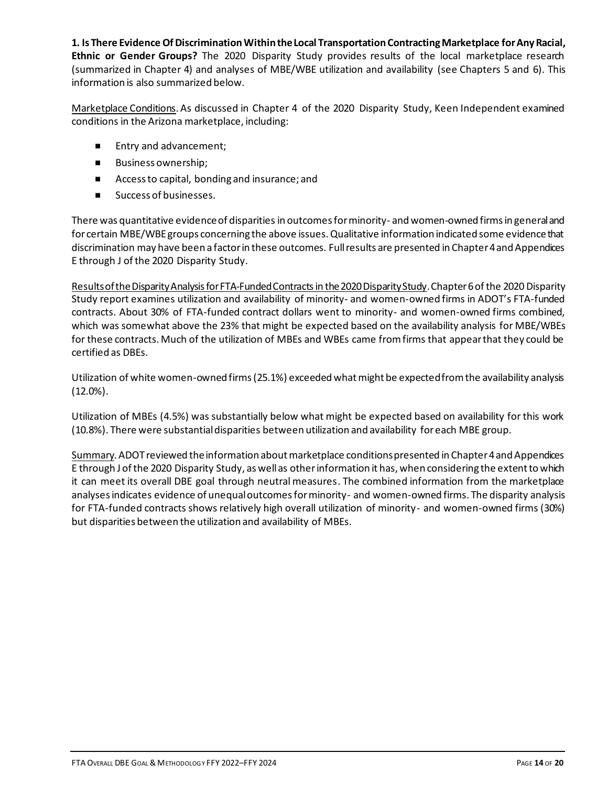**1. Is There Evidence Of Discrimination Within the Local Transportation Contracting Marketplace for Any Racial, Ethnic or Gender Groups?** The 2020 Disparity Study provides results of the local marketplace research (summarized in Chapter 4) and analyses of MBE/WBE utilization and availability (see Chapters 5 and 6). This information is also summarized below.

Marketplace Conditions. As discussed in Chapter 4 of the 2020 Disparity Study, Keen Independent examined conditions in the Arizona marketplace, including:

- Entry and advancement;
- **Business ownership;**
- Access to capital, bonding and insurance; and
- Success of businesses.

There was quantitative evidence of disparities in outcomes for minority- and women-owned firms in general and for certain MBE/WBE groups concerning the above issues. Qualitative information indicated some evidence that discrimination may have been a factor in these outcomes. Full results are presented in Chapter 4 and Appendices E through J of the 2020 Disparity Study.

Results of the Disparity Analysis for FTA-Funded Contractsin the 2020 Disparity Study.Chapter 6 of the 2020 Disparity Study report examines utilization and availability of minority- and women-owned firms in ADOT's FTA-funded contracts. About 30% of FTA-funded contract dollars went to minority- and women-owned firms combined, which was somewhat above the 23% that might be expected based on the availability analysis for MBE/WBEs for these contracts. Much of the utilization of MBEs and WBEs came from firms that appear that they could be certified as DBEs.

Utilization of white women-owned firms (25.1%) exceeded what might be expected from the availability analysis (12.0%).

Utilization of MBEs (4.5%) was substantially below what might be expected based on availability for this work (10.8%). There were substantial disparities between utilization and availability for each MBE group.

Summary. ADOT reviewed the information about marketplace conditions presented in Chapter 4 and Appendices E through J of the 2020 Disparity Study, as well as other information it has, when considering the extent to which it can meet its overall DBE goal through neutral measures. The combined information from the marketplace analyses indicates evidence of unequal outcomes for minority- and women-owned firms. The disparity analysis for FTA-funded contracts shows relatively high overall utilization of minority- and women-owned firms (30%) but disparities between the utilization and availability of MBEs.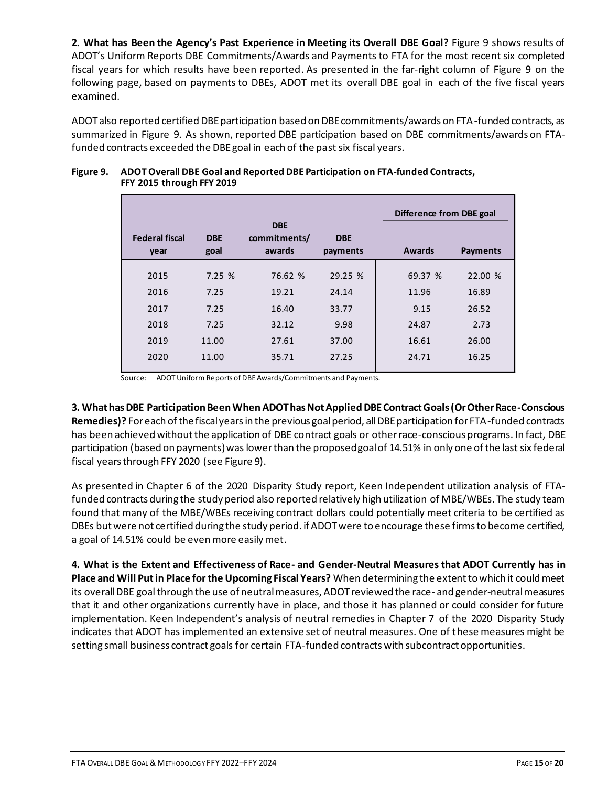**2. What has Been the Agency's Past Experience in Meeting its Overall DBE Goal?** Figure 9 shows results of ADOT's Uniform Reports DBE Commitments/Awards and Payments to FTA for the most recent six completed fiscal years for which results have been reported. As presented in the far-right column of Figure 9 on the following page, based on payments to DBEs, ADOT met its overall DBE goal in each of the five fiscal years examined.

ADOT also reported certified DBE participation based on DBE commitments/awards on FTA-funded contracts, as summarized in Figure 9. As shown, reported DBE participation based on DBE commitments/awards on FTAfunded contracts exceeded the DBE goal in each of the past six fiscal years.

| <b>Federal fiscal</b><br>year | <b>DBE</b><br>goal | <b>DBE</b><br>commitments/<br>awards | <b>DBE</b><br>payments | Difference from DBE goal<br>Awards | <b>Payments</b> |
|-------------------------------|--------------------|--------------------------------------|------------------------|------------------------------------|-----------------|
| 2015                          | 7.25 %             | 76.62 %                              | 29.25 %                | 69.37 %                            | 22.00 %         |
|                               |                    |                                      |                        |                                    |                 |
| 2016                          | 7.25               | 19.21                                | 24.14                  | 11.96                              | 16.89           |
| 2017                          | 7.25               | 16.40                                | 33.77                  | 9.15                               | 26.52           |
| 2018                          | 7.25               | 32.12                                | 9.98                   | 24.87                              | 2.73            |
| 2019                          | 11.00              | 27.61                                | 37.00                  | 16.61                              | 26.00           |
| 2020                          | 11.00              | 35.71                                | 27.25                  | 24.71                              | 16.25           |

### **Figure 9. ADOT Overall DBE Goal and Reported DBE Participation on FTA-funded Contracts, FFY 2015 through FFY 2019**

Source: ADOT Uniform Reports of DBE Awards/Commitments and Payments.

**3. What has DBE Participation Been When ADOT has Not Applied DBE Contract Goals (Or Other Race-Conscious Remedies)?** For each of the fiscal years in the previous goal period, all DBE participation for FTA-funded contracts has been achieved without the application of DBE contract goals or other race-conscious programs. In fact, DBE participation (based on payments) was lower than the proposed goal of 14.51% in only one of the last six federal fiscal years through FFY 2020 (see Figure 9).

As presented in Chapter 6 of the 2020 Disparity Study report, Keen Independent utilization analysis of FTAfunded contracts during the study period also reported relatively high utilization of MBE/WBEs. The study team found that many of the MBE/WBEs receiving contract dollars could potentially meet criteria to be certified as DBEs but were not certified during the study period. if ADOT were to encourage these firms to become certified, a goal of 14.51% could be even more easily met.

**4. What is the Extent and Effectiveness of Race- and Gender-Neutral Measures that ADOT Currently has in Place and Will Put in Place for the Upcoming Fiscal Years?** When determining the extentto which it could meet its overall DBE goal through the use of neutral measures, ADOT reviewed the race- and gender-neutral measures that it and other organizations currently have in place, and those it has planned or could consider for future implementation. Keen Independent's analysis of neutral remedies in Chapter 7 of the 2020 Disparity Study indicates that ADOT has implemented an extensive set of neutral measures. One of these measures might be setting small business contract goals for certain FTA-funded contracts with subcontract opportunities.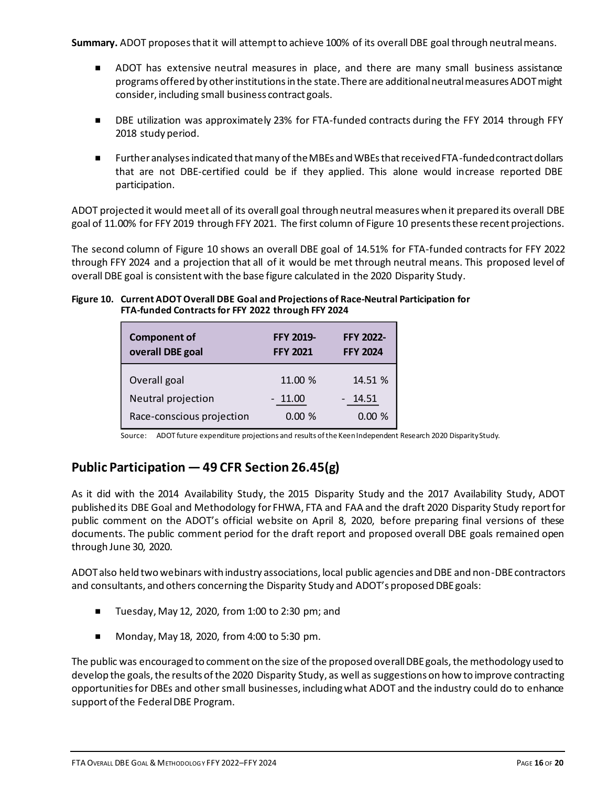**Summary.** ADOT proposes that it will attempt to achieve 100% of its overall DBE goal through neutral means.

- **ADOT** has extensive neutral measures in place, and there are many small business assistance programs offered by other institutions in the state. There are additional neutral measures ADOT might consider, including small business contract goals.
- DBE utilization was approximately 23% for FTA-funded contracts during the FFY 2014 through FFY 2018 study period.
- Further analyses indicated that many of the MBEs and WBEs that received FTA-funded contract dollars that are not DBE-certified could be if they applied. This alone would increase reported DBE participation.

ADOT projected it would meet all of its overall goal through neutral measures when it prepared its overall DBE goal of 11.00% for FFY 2019 through FFY 2021. The first column of Figure 10 presents these recent projections.

The second column of Figure 10 shows an overall DBE goal of 14.51% for FTA-funded contracts for FFY 2022 through FFY 2024 and a projection that all of it would be met through neutral means. This proposed level of overall DBE goal is consistent with the base figure calculated in the 2020 Disparity Study.

### **Figure 10. Current ADOT Overall DBE Goal and Projections of Race-Neutral Participation for FTA-funded Contracts for FFY 2022 through FFY 2024**

| <b>Component of</b><br>overall DBE goal | <b>FFY 2019-</b><br><b>FFY 2021</b> | <b>FFY 2022-</b><br><b>FFY 2024</b> |
|-----------------------------------------|-------------------------------------|-------------------------------------|
| Overall goal                            | 11.00 %                             | 14.51 %                             |
| Neutral projection                      | $-11.00$                            | $-14.51$                            |
| Race-conscious projection               | 0.00%                               | 0.00%                               |

Source: ADOT future expenditure projections and results of the Keen Independent Research 2020 Disparity Study.

## **Public Participation —49 CFR Section 26.45(g)**

As it did with the 2014 Availability Study, the 2015 Disparity Study and the 2017 Availability Study, ADOT published its DBE Goal and Methodology for FHWA, FTA and FAA and the draft 2020 Disparity Study report for public comment on the ADOT's official website on April 8, 2020, before preparing final versions of these documents. The public comment period for the draft report and proposed overall DBE goals remained open through June 30, 2020.

ADOT also held two webinars with industry associations, local public agencies and DBE and non-DBE contractors and consultants, and others concerning the Disparity Study and ADOT's proposed DBE goals:

- Tuesday, May 12, 2020, from 1:00 to 2:30 pm; and
- Monday, May 18, 2020, from 4:00 to 5:30 pm.

The public was encouraged to comment on the size of the proposed overall DBE goals, the methodology used to develop the goals, the results of the 2020 Disparity Study, as well as suggestions on how to improve contracting opportunities for DBEs and other small businesses, including what ADOT and the industry could do to enhance support of the Federal DBE Program.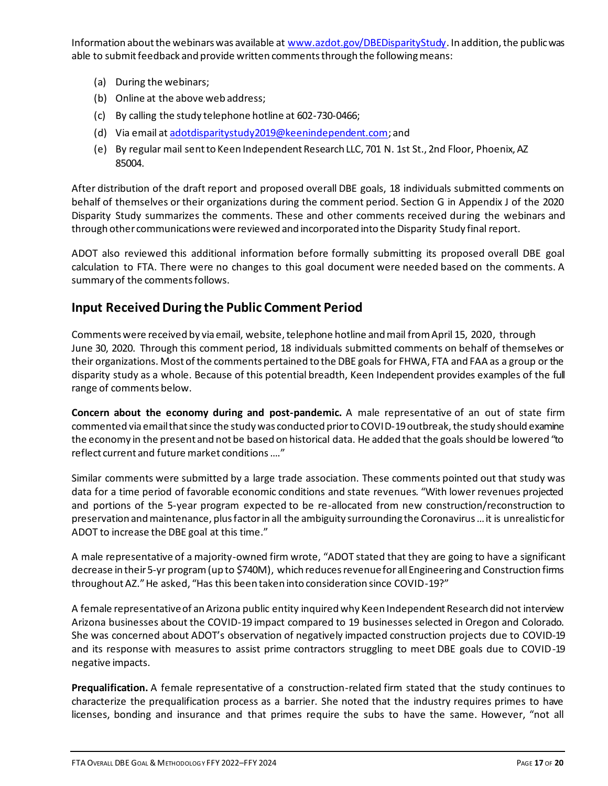Information about the webinars was available a[t www.azdot.gov/DBEDisparityStudy](http://www.azdot.gov/DBEDisparityStudy). In addition, the public was able to submit feedback and provide written comments through the following means:

- (a) During the webinars;
- (b) Online at the above web address;
- (c) By calling the study telephone hotline at 602-730-0466;
- (d) Via email at [adotdisparitystudy2019@keenindependent.com](mailto:adotdisparitystudy2019@keenindependent.com); and
- (e) By regular mail sent to Keen Independent Research LLC, 701 N. 1st St., 2nd Floor, Phoenix, AZ 85004.

After distribution of the draft report and proposed overall DBE goals, 18 individuals submitted comments on behalf of themselves or their organizations during the comment period. Section G in Appendix J of the 2020 Disparity Study summarizes the comments. These and other comments received during the webinars and through other communications were reviewed and incorporated into the Disparity Study final report.

ADOT also reviewed this additional information before formally submitting its proposed overall DBE goal calculation to FTA. There were no changes to this goal document were needed based on the comments. A summary of the comments follows.

## **Input Received During the Public Comment Period**

Comments were received by via email, website, telephone hotline and mail from April 15, 2020, through June 30, 2020. Through this comment period, 18 individuals submitted comments on behalf of themselves or their organizations. Most of the comments pertained to the DBE goals for FHWA, FTA and FAA as a group or the disparity study as a whole. Because of this potential breadth, Keen Independent provides examples of the full range of comments below.

**Concern about the economy during and post-pandemic.** A male representative of an out of state firm commented via email that since the study was conducted prior to COVID-19 outbreak, the study should examine the economy in the present and not be based on historical data. He added that the goals should be lowered "to reflect current and future market conditions …."

Similar comments were submitted by a large trade association. These comments pointed out that study was data for a time period of favorable economic conditions and state revenues. "With lower revenues projected and portions of the 5-year program expected to be re-allocated from new construction/reconstruction to preservation and maintenance, plus factor in all the ambiguity surrounding the Coronavirus … it is unrealistic for ADOT to increase the DBE goal at this time."

A male representative of a majority-owned firm wrote, "ADOT stated that they are going to have a significant decrease in their 5-yr program (up to \$740M), which reduces revenue for all Engineering and Construction firms throughout AZ." He asked, "Has this been taken into consideration since COVID-19?"

A female representative of an Arizona public entity inquired why Keen Independent Research did not interview Arizona businesses about the COVID-19 impact compared to 19 businesses selected in Oregon and Colorado. She was concerned about ADOT's observation of negatively impacted construction projects due to COVID-19 and its response with measures to assist prime contractors struggling to meet DBE goals due to COVID-19 negative impacts.

**Prequalification.** A female representative of a construction-related firm stated that the study continues to characterize the prequalification process as a barrier. She noted that the industry requires primes to have licenses, bonding and insurance and that primes require the subs to have the same. However, "not all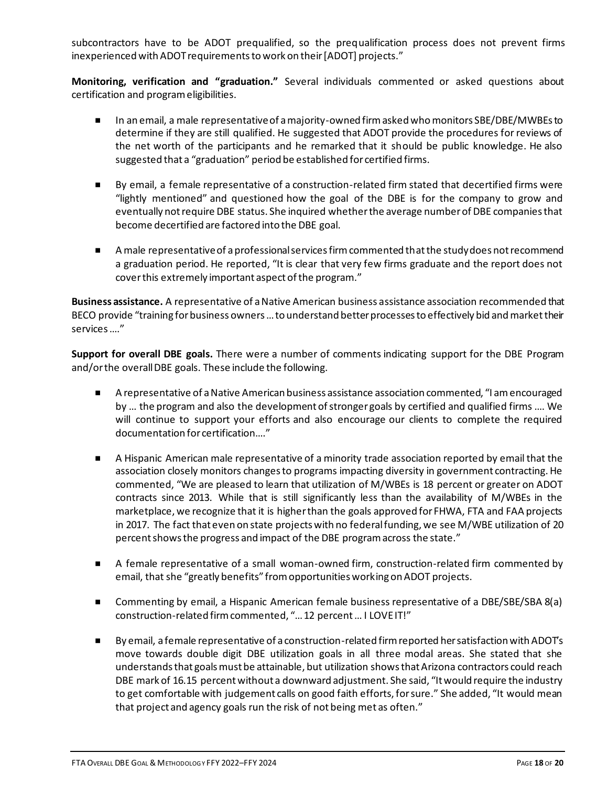subcontractors have to be ADOT prequalified, so the prequalification process does not prevent firms inexperienced with ADOT requirements to work on their [ADOT] projects."

**Monitoring, verification and "graduation."** Several individuals commented or asked questions about certification and program eligibilities.

- In an email, a male representative of a majority-owned firm asked who monitors SBE/DBE/MWBEs to determine if they are still qualified. He suggested that ADOT provide the procedures for reviews of the net worth of the participants and he remarked that it should be public knowledge. He also suggested that a "graduation" period be established for certified firms.
- By email, a female representative of a construction-related firm stated that decertified firms were "lightly mentioned" and questioned how the goal of the DBE is for the company to grow and eventually not require DBE status. She inquired whether the average number of DBE companies that become decertified are factored into the DBE goal.
- A male representative of a professional services firm commented that the study does not recommend a graduation period. He reported, "It is clear that very few firms graduate and the report does not cover this extremely important aspect of the program."

**Business assistance.** A representative of a Native American business assistance association recommended that BECO provide "training for business owners … to understand better processes to effectively bid and market their services …."

**Support for overall DBE goals.** There were a number of comments indicating support for the DBE Program and/or the overall DBE goals. These include the following.

- A representative of a Native American business assistance association commented, "I am encouraged by … the program and also the development of stronger goals by certified and qualified firms …. We will continue to support your efforts and also encourage our clients to complete the required documentation for certification…."
- A Hispanic American male representative of a minority trade association reported by email that the association closely monitors changes to programs impacting diversity in government contracting. He commented, "We are pleased to learn that utilization of M/WBEs is 18 percent or greater on ADOT contracts since 2013. While that is still significantly less than the availability of M/WBEs in the marketplace, we recognize that it is higher than the goals approved for FHWA, FTA and FAA projects in 2017. The fact that even on state projects with no federal funding, we see M/WBE utilization of 20 percent shows the progress and impact of the DBE program across the state."
- A female representative of a small woman-owned firm, construction-related firm commented by email, that she "greatly benefits" from opportunities working on ADOT projects.
- Commenting by email, a Hispanic American female business representative of a DBE/SBE/SBA 8(a) construction-related firm commented, "… 12 percent … I LOVE IT!"
- By email, a female representative of a construction-related firm reported her satisfaction with ADOT's move towards double digit DBE utilization goals in all three modal areas. She stated that she understands that goals must be attainable, but utilization shows that Arizona contractors could reach DBE mark of 16.15 percent without a downward adjustment. She said, "It would require the industry to get comfortable with judgement calls on good faith efforts, for sure." She added, "It would mean that project and agency goals run the risk of not being met as often."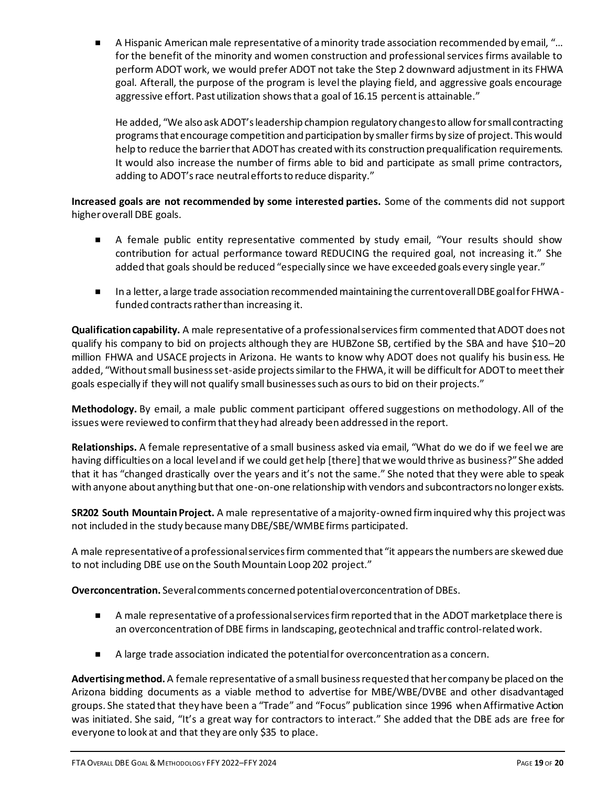A Hispanic American male representative of a minority trade association recommended by email, "… for the benefit of the minority and women construction and professional services firms available to perform ADOT work, we would prefer ADOT not take the Step 2 downward adjustment in its FHWA goal. Afterall, the purpose of the program is level the playing field, and aggressive goals encourage aggressive effort. Past utilization shows that a goal of 16.15 percent is attainable."

He added, "We also ask ADOT's leadership champion regulatory changes to allow for small contracting programs that encourage competition and participation by smaller firms by size of project. This would help to reduce the barrier that ADOT has created with its construction prequalification requirements. It would also increase the number of firms able to bid and participate as small prime contractors, adding to ADOT's race neutral efforts to reduce disparity."

**Increased goals are not recommended by some interested parties.** Some of the comments did not support higher overall DBE goals.

- A female public entity representative commented by study email, "Your results should show contribution for actual performance toward REDUCING the required goal, not increasing it." She added that goals should be reduced "especially since we have exceeded goals every single year."
- In a letter, a large trade association recommended maintaining the current overall DBE goal for FHWAfunded contracts rather than increasing it.

**Qualification capability.** A male representative of a professional services firm commented that ADOT does not qualify his company to bid on projects although they are HUBZone SB, certified by the SBA and have \$10–20 million FHWA and USACE projects in Arizona. He wants to know why ADOT does not qualify his business. He added, "Without small business set-aside projects similar to the FHWA, it will be difficult for ADOT to meet their goals especially if they will not qualify small businesses such as ours to bid on their projects."

**Methodology.** By email, a male public comment participant offered suggestions on methodology. All of the issues were reviewed to confirm that they had already been addressed in the report.

**Relationships.** A female representative of a small business asked via email, "What do we do if we feel we are having difficulties on a local level and if we could get help [there] that we would thrive as business?" She added that it has "changed drastically over the years and it's not the same." She noted that they were able to speak with anyone about anything but that one-on-one relationship with vendors and subcontractors no longer exists.

**SR202 South Mountain Project.** A male representative of a majority-owned firm inquired why this project was not included in the study because many DBE/SBE/WMBE firms participated.

A male representative of a professional services firm commented that "it appears the numbers are skewed due to not including DBE use on the South Mountain Loop 202 project."

**Overconcentration.** Several comments concerned potential overconcentration of DBEs.

- A male representative of a professional services firm reported that in the ADOT marketplace there is an overconcentration of DBE firms in landscaping, geotechnical and traffic control-related work.
- A large trade association indicated the potential for overconcentration as a concern.

**Advertising method.** A female representative of a small business requested that her company be placed on the Arizona bidding documents as a viable method to advertise for MBE/WBE/DVBE and other disadvantaged groups. She stated that they have been a "Trade" and "Focus" publication since 1996 when Affirmative Action was initiated. She said, "It's a great way for contractors to interact." She added that the DBE ads are free for everyone to look at and that they are only \$35 to place.